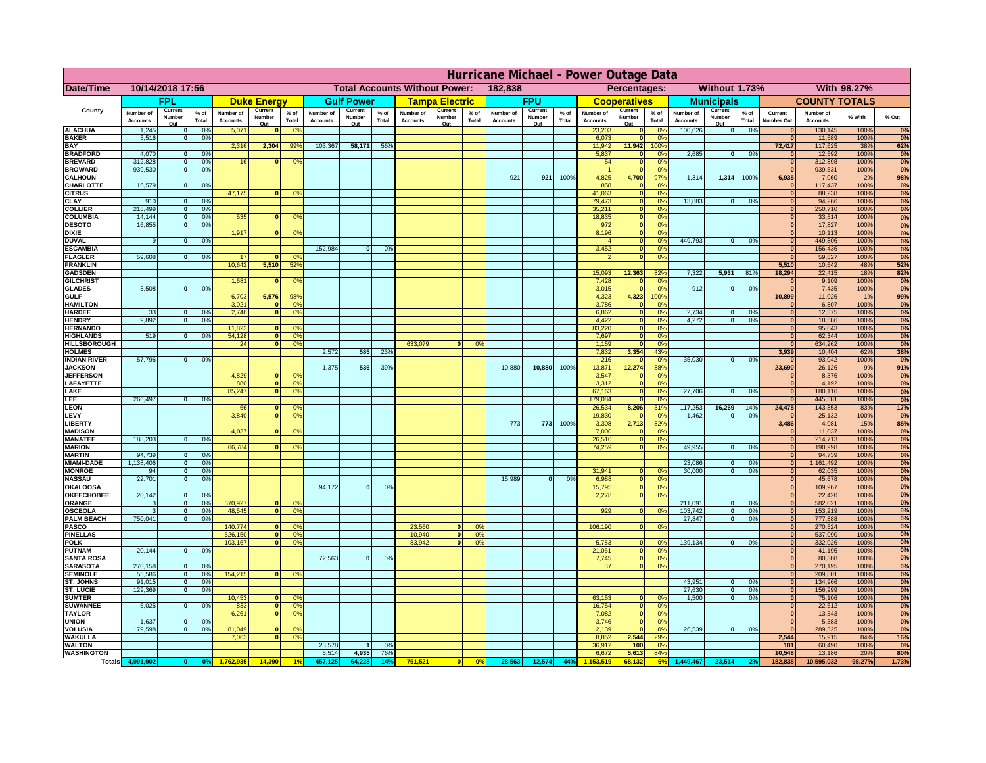| 10/14/2018 17:56<br>182,838<br>Without 1.73%<br>With 98.27%<br><b>Total Accounts Without Power:</b><br>Percentages:<br>Date/Time<br><b>FPU</b><br><b>COUNTY TOTALS</b><br><b>FPL</b><br><b>Gulf Power</b><br><b>Tampa Electric</b><br><b>Municipals</b><br><b>Duke Energy</b><br><b>Cooperatives</b><br>County<br>Current<br>Current<br>Current<br>Current<br>Current<br>Current<br>Current<br>$%$ of<br>$%$ of<br>$%$ of<br>Number of<br>% of<br>Number of<br>Number of<br>$%$ of<br>Number of<br>Number of<br>$%$ of<br>Number of<br>Number of<br>$%$ of<br>Current<br>Number of<br>% With<br>Number<br>Number<br>Number<br>Number<br>Number<br>Number<br>Number<br>Total<br>Total<br>Total<br>Total<br>Total<br><b>Accounts</b><br>Total<br><b>Accounts</b><br><b>Accounts</b><br>Accounts<br>Total<br><b>Accounts</b><br><b>Accounts</b><br><b>Number Out</b><br><b>Accounts</b><br><b>Accounts</b><br>Out<br>Out<br>Out<br>Out<br>Out<br>Out<br>Out<br><b>ALACHUA</b><br>1,245<br>0 <sup>9</sup><br>5,071<br>0 <sup>9</sup><br>23,203<br>100,626<br> 0 <br>0%<br>130,145<br>100%<br>$\bf{0}$<br>$\mathbf{0}$<br>0 <sup>9</sup><br>$\bf{0}$<br><b>BAKER</b><br>5,516<br>0%<br>6,073<br>ō<br>0%<br>11,589<br>100%<br>$\bf{0}$<br><b>BAY</b><br>2,316<br>2,304<br>99%<br>103,367<br>58,171<br>56%<br>11,942<br>11,942<br>100%<br>72,417<br>117,625<br>38%<br><b>BRADFORD</b><br>4,070<br>0 <sup>9</sup><br>5,837<br>2,685<br>0%<br>12,592<br>100%<br>$\mathbf{0}$<br>0%<br> 0 <br>$\bf{0}$<br><b>BREVARD</b><br>312,828<br>0 <sup>9</sup><br>16<br>0%<br>54<br>$\mathbf{0}$<br>0%<br>$\mathbf{0}$<br>312,898<br>100%<br>$\mathbf{0}$<br><b>BROWARD</b><br>939.530<br>0 <sup>9</sup><br>$\mathbf{0}$<br>0%<br>$\bf{0}$<br>939,531<br>100%<br>4,825<br>1,314<br>6,935<br><b>CALHOUN</b><br>921<br>921<br>100%<br>4,700<br>97%<br>1,314 100%<br>7,060<br>2%<br>116,579<br>858<br>100%<br>CHARLOTTE<br>0 <sup>9</sup><br>0%<br>117,437<br>$\mathbf 0$<br>$\bf{0}$<br>47,175<br>41,063<br>88,238<br>100%<br><b>CITRUS</b><br>0 <sup>9</sup><br>$\mathbf{0}$<br>0 <sup>9</sup><br>$\bf{0}$<br>$\mathbf{0}$<br>79,473<br><b>CLAY</b><br>13,883<br>94,266<br>100%<br>910<br>0 <sup>9</sup><br>$\mathbf{0}$<br>0 <sup>9</sup><br>$\mathbf{0}$<br>0%<br>$\bf{0}$<br>215,499<br>35,211<br><b>COLLIER</b><br>0%<br>250,710<br>100%<br>0 <sup>9</sup><br>$\mathbf{0}$<br>$\bf{0}$<br>535<br><b>COLUMBIA</b><br>14,144<br>18,835<br>ō<br>0%<br>33,514<br>100%<br>0 <sup>9</sup><br>0 <sup>9</sup><br>$\bf{0}$<br>$\bf{0}$<br>16,855<br>972<br>17,827<br><b>DESOTO</b><br>0 <sup>9</sup><br>ō<br>0%<br>100%<br>$\bf{0}$<br>1,917<br>8,196<br>10,113<br>100%<br><b>DIXIE</b><br>$\mathbf{0}$<br>nº<br>$\mathbf{0}$<br>0 <sup>o</sup><br>$\bf{0}$<br>449.793<br><b>DUVAL</b><br>449,806<br>100%<br>0%<br>$\mathbf{0}$<br>0%<br>o<br>0%<br>$\Omega$<br>152,984<br>3,452<br><b>ESCAMBIA</b><br>0%<br>156,436<br>100%<br>0 <sup>9</sup><br>$\mathbf{0}$<br>$\mathbf{0}$<br>$\mathbf{0}$<br>59,608<br>0%<br>59,627<br><b>FLAGLER</b><br>17<br>ō<br>100%<br>0%<br>0 <sup>9</sup><br>$\mathbf{r}$<br>$\Omega$<br>10,642<br>5,510<br>52%<br>5,510<br>10,642<br>48%<br><b>FRANKLIN</b><br>15,093<br>12,363<br>7,322<br>5,931<br>18,294<br>22,415<br>18%<br><b>GADSDEN</b><br>82%<br>81%<br>1,681<br>7,428<br>0%<br>9,109<br>100%<br><b>GILCHRIST</b><br>0 <sup>9</sup><br>$\mathbf{0}$<br>$\mathbf{0}$<br>$\Omega$<br>3,508<br>0 <sup>9</sup><br>3,015<br>$\bullet$<br>0%<br>912<br>0%<br> 0 <br>7,435<br>100%<br><b>GLADES</b><br> 0 <br><b>GULF</b><br>6,703<br>6,576<br>98%<br>4,323<br>4,323<br>100%<br>10,899<br>11,026<br>1%<br><b>HAMILTON</b><br>3,021<br>0 <sup>9</sup><br>3,786<br>0%<br>6,807<br>100%<br>n l<br>$\mathbf{0}$<br>$\Omega$<br><b>HARDEE</b><br>0%<br>2.746<br> 0 <br>2.734<br>0%<br>12,375<br>100%<br>33<br>n l<br>0 <sup>9</sup><br>6.862<br>0%<br>$\bf{0}$<br> 0 <br>9.892<br>0%<br>4.422<br> 0 <br>4.272<br>0%<br>18.586<br>100%<br><b>HENDRY</b><br>0%<br>$\mathbf{0}$<br> 0 <br><b>HERNANDO</b><br>11,823<br>83,220<br> 0 <br>0%<br> 0 <br>95,043<br>100%<br><sup>o</sup><br>$\Omega$<br><b>HIGHLANDS</b><br>519<br>0 <sup>9</sup><br>54,128<br>$\overline{0}$<br>0%<br>7,697<br>$\overline{0}$<br> 0 <br>62,344<br>100%<br>0%<br><b>HILLSBOROUGH</b><br>24<br>$\overline{0}$<br>0%<br>633,079<br>1,159<br> 0 <br>634,262<br>100%<br>0 <sup>9</sup><br>$\mathbf{0}$<br>0%<br><b>HOLMES</b><br>2,572<br>585<br>23%<br>7,832<br>3,354<br>43%<br>3,939<br>10,404<br>62%<br><b>INDIAN RIVER</b><br>57,796<br>0%<br>216<br>35,030<br>0%<br>93,042<br>100%<br>$\mathbf{0}$<br>0 <sup>9</sup><br>$\mathbf{0}$<br>$\bf{0}$<br><b>JACKSON</b><br>1,375<br>536<br>39 <sup>°</sup><br>10,880<br>10,880<br>100%<br>13,871<br>12,274<br>88%<br>23,690<br>26,126<br>9%<br><b>JEFFERSON</b><br>4,829<br>3,547<br>0%<br>8,376<br>100%<br>οl<br>0 <sup>9</sup><br>$\mathbf 0$<br>$\mathbf{0}$<br>LAFAYETTE<br>880<br>$\overline{0}$<br>0%<br>3,312<br>$\mathbf{0}$<br>0%<br> 0 <br>4,192<br>100%<br>85,247<br>27,706<br>LAKE<br>$\overline{0}$<br>0%<br>67,163<br>$\mathbf{0}$<br>0%<br>0%<br> 0 <br>180,116<br>100%<br>$\Omega$<br>266,497<br>LEE<br>0%<br>179,084<br>$\mathbf{0}$<br>0%<br> 0 <br>445,581<br>100%<br><b>LEON</b><br>66<br>26,534<br>8,206<br>31%<br>117,253<br>16,269<br>14%<br>24,475<br>143,853<br>83%<br>$\Omega$<br>O <sup>9</sup><br>LEVY<br>3,840<br>0 <sup>9</sup><br>19,830<br>1,462<br>0%<br>25,132<br>100%<br>$\Omega$<br>$\mathbf{0}$<br>0%<br>$\mathbf{0}$<br>$\Omega$<br>LIBERTY<br>773<br>773<br>100%<br>3,308<br>2,713<br>82%<br>3,486<br>4,081<br>15%<br><b>MADISON</b><br>4,037<br>7,000<br>11,037<br>100%<br><sup>o</sup><br>0 <sup>9</sup><br>$\mathbf{0}$<br>0%<br> 0 <br>188,203<br><b>MANATEE</b><br>0%<br>26,510<br> 0 <br>0%<br> 0 <br>214,713<br>100%<br>$\Omega$<br>49,955<br><b>MARION</b><br>66,784<br>74,259<br> 0 <br>0%<br>$\Omega$<br>0%<br> 0 <br>190,998<br>100%<br>0°<br>94,739<br><b>MARTIN</b><br>0 <sup>9</sup><br> 0 <br>94,739<br>100%<br>$\Omega$<br>1,138,406<br>23,086<br>$\mathbf 0$<br>0%<br>$\mathbf{o}$ | % Out        |
|----------------------------------------------------------------------------------------------------------------------------------------------------------------------------------------------------------------------------------------------------------------------------------------------------------------------------------------------------------------------------------------------------------------------------------------------------------------------------------------------------------------------------------------------------------------------------------------------------------------------------------------------------------------------------------------------------------------------------------------------------------------------------------------------------------------------------------------------------------------------------------------------------------------------------------------------------------------------------------------------------------------------------------------------------------------------------------------------------------------------------------------------------------------------------------------------------------------------------------------------------------------------------------------------------------------------------------------------------------------------------------------------------------------------------------------------------------------------------------------------------------------------------------------------------------------------------------------------------------------------------------------------------------------------------------------------------------------------------------------------------------------------------------------------------------------------------------------------------------------------------------------------------------------------------------------------------------------------------------------------------------------------------------------------------------------------------------------------------------------------------------------------------------------------------------------------------------------------------------------------------------------------------------------------------------------------------------------------------------------------------------------------------------------------------------------------------------------------------------------------------------------------------------------------------------------------------------------------------------------------------------------------------------------------------------------------------------------------------------------------------------------------------------------------------------------------------------------------------------------------------------------------------------------------------------------------------------------------------------------------------------------------------------------------------------------------------------------------------------------------------------------------------------------------------------------------------------------------------------------------------------------------------------------------------------------------------------------------------------------------------------------------------------------------------------------------------------------------------------------------------------------------------------------------------------------------------------------------------------------------------------------------------------------------------------------------------------------------------------------------------------------------------------------------------------------------------------------------------------------------------------------------------------------------------------------------------------------------------------------------------------------------------------------------------------------------------------------------------------------------------------------------------------------------------------------------------------------------------------------------------------------------------------------------------------------------------------------------------------------------------------------------------------------------------------------------------------------------------------------------------------------------------------------------------------------------------------------------------------------------------------------------------------------------------------------------------------------------------------------------------------------------------------------------------------------------------------------------------------------------------------------------------------------------------------------------------------------------------------------------------------------------------------------------------------------------------------------------------------------------------------------------------------------------------------------------------------------------------------------------------------------------------------------------------------------------------------------------------------------------------------------------------------------------------------------------------------------------------------------------------------------------------------------------------------------------------------------------------------------------------------------------------------------------------------------------------------------------------------------------------------------------------------------------------------------------------------------------------------------------------------------------------------------------------------------------------------------------------------------------------------------------------------------------------------------|--------------|
|                                                                                                                                                                                                                                                                                                                                                                                                                                                                                                                                                                                                                                                                                                                                                                                                                                                                                                                                                                                                                                                                                                                                                                                                                                                                                                                                                                                                                                                                                                                                                                                                                                                                                                                                                                                                                                                                                                                                                                                                                                                                                                                                                                                                                                                                                                                                                                                                                                                                                                                                                                                                                                                                                                                                                                                                                                                                                                                                                                                                                                                                                                                                                                                                                                                                                                                                                                                                                                                                                                                                                                                                                                                                                                                                                                                                                                                                                                                                                                                                                                                                                                                                                                                                                                                                                                                                                                                                                                                                                                                                                                                                                                                                                                                                                                                                                                                                                                                                                                                                                                                                                                                                                                                                                                                                                                                                                                                                                                                                                                                                                                                                                                                                                                                                                                                                                                                                                                                                                                                                                                                                |              |
|                                                                                                                                                                                                                                                                                                                                                                                                                                                                                                                                                                                                                                                                                                                                                                                                                                                                                                                                                                                                                                                                                                                                                                                                                                                                                                                                                                                                                                                                                                                                                                                                                                                                                                                                                                                                                                                                                                                                                                                                                                                                                                                                                                                                                                                                                                                                                                                                                                                                                                                                                                                                                                                                                                                                                                                                                                                                                                                                                                                                                                                                                                                                                                                                                                                                                                                                                                                                                                                                                                                                                                                                                                                                                                                                                                                                                                                                                                                                                                                                                                                                                                                                                                                                                                                                                                                                                                                                                                                                                                                                                                                                                                                                                                                                                                                                                                                                                                                                                                                                                                                                                                                                                                                                                                                                                                                                                                                                                                                                                                                                                                                                                                                                                                                                                                                                                                                                                                                                                                                                                                                                |              |
|                                                                                                                                                                                                                                                                                                                                                                                                                                                                                                                                                                                                                                                                                                                                                                                                                                                                                                                                                                                                                                                                                                                                                                                                                                                                                                                                                                                                                                                                                                                                                                                                                                                                                                                                                                                                                                                                                                                                                                                                                                                                                                                                                                                                                                                                                                                                                                                                                                                                                                                                                                                                                                                                                                                                                                                                                                                                                                                                                                                                                                                                                                                                                                                                                                                                                                                                                                                                                                                                                                                                                                                                                                                                                                                                                                                                                                                                                                                                                                                                                                                                                                                                                                                                                                                                                                                                                                                                                                                                                                                                                                                                                                                                                                                                                                                                                                                                                                                                                                                                                                                                                                                                                                                                                                                                                                                                                                                                                                                                                                                                                                                                                                                                                                                                                                                                                                                                                                                                                                                                                                                                |              |
|                                                                                                                                                                                                                                                                                                                                                                                                                                                                                                                                                                                                                                                                                                                                                                                                                                                                                                                                                                                                                                                                                                                                                                                                                                                                                                                                                                                                                                                                                                                                                                                                                                                                                                                                                                                                                                                                                                                                                                                                                                                                                                                                                                                                                                                                                                                                                                                                                                                                                                                                                                                                                                                                                                                                                                                                                                                                                                                                                                                                                                                                                                                                                                                                                                                                                                                                                                                                                                                                                                                                                                                                                                                                                                                                                                                                                                                                                                                                                                                                                                                                                                                                                                                                                                                                                                                                                                                                                                                                                                                                                                                                                                                                                                                                                                                                                                                                                                                                                                                                                                                                                                                                                                                                                                                                                                                                                                                                                                                                                                                                                                                                                                                                                                                                                                                                                                                                                                                                                                                                                                                                | 0%           |
|                                                                                                                                                                                                                                                                                                                                                                                                                                                                                                                                                                                                                                                                                                                                                                                                                                                                                                                                                                                                                                                                                                                                                                                                                                                                                                                                                                                                                                                                                                                                                                                                                                                                                                                                                                                                                                                                                                                                                                                                                                                                                                                                                                                                                                                                                                                                                                                                                                                                                                                                                                                                                                                                                                                                                                                                                                                                                                                                                                                                                                                                                                                                                                                                                                                                                                                                                                                                                                                                                                                                                                                                                                                                                                                                                                                                                                                                                                                                                                                                                                                                                                                                                                                                                                                                                                                                                                                                                                                                                                                                                                                                                                                                                                                                                                                                                                                                                                                                                                                                                                                                                                                                                                                                                                                                                                                                                                                                                                                                                                                                                                                                                                                                                                                                                                                                                                                                                                                                                                                                                                                                | 0%           |
|                                                                                                                                                                                                                                                                                                                                                                                                                                                                                                                                                                                                                                                                                                                                                                                                                                                                                                                                                                                                                                                                                                                                                                                                                                                                                                                                                                                                                                                                                                                                                                                                                                                                                                                                                                                                                                                                                                                                                                                                                                                                                                                                                                                                                                                                                                                                                                                                                                                                                                                                                                                                                                                                                                                                                                                                                                                                                                                                                                                                                                                                                                                                                                                                                                                                                                                                                                                                                                                                                                                                                                                                                                                                                                                                                                                                                                                                                                                                                                                                                                                                                                                                                                                                                                                                                                                                                                                                                                                                                                                                                                                                                                                                                                                                                                                                                                                                                                                                                                                                                                                                                                                                                                                                                                                                                                                                                                                                                                                                                                                                                                                                                                                                                                                                                                                                                                                                                                                                                                                                                                                                | 62%<br>0%    |
|                                                                                                                                                                                                                                                                                                                                                                                                                                                                                                                                                                                                                                                                                                                                                                                                                                                                                                                                                                                                                                                                                                                                                                                                                                                                                                                                                                                                                                                                                                                                                                                                                                                                                                                                                                                                                                                                                                                                                                                                                                                                                                                                                                                                                                                                                                                                                                                                                                                                                                                                                                                                                                                                                                                                                                                                                                                                                                                                                                                                                                                                                                                                                                                                                                                                                                                                                                                                                                                                                                                                                                                                                                                                                                                                                                                                                                                                                                                                                                                                                                                                                                                                                                                                                                                                                                                                                                                                                                                                                                                                                                                                                                                                                                                                                                                                                                                                                                                                                                                                                                                                                                                                                                                                                                                                                                                                                                                                                                                                                                                                                                                                                                                                                                                                                                                                                                                                                                                                                                                                                                                                | 0%           |
|                                                                                                                                                                                                                                                                                                                                                                                                                                                                                                                                                                                                                                                                                                                                                                                                                                                                                                                                                                                                                                                                                                                                                                                                                                                                                                                                                                                                                                                                                                                                                                                                                                                                                                                                                                                                                                                                                                                                                                                                                                                                                                                                                                                                                                                                                                                                                                                                                                                                                                                                                                                                                                                                                                                                                                                                                                                                                                                                                                                                                                                                                                                                                                                                                                                                                                                                                                                                                                                                                                                                                                                                                                                                                                                                                                                                                                                                                                                                                                                                                                                                                                                                                                                                                                                                                                                                                                                                                                                                                                                                                                                                                                                                                                                                                                                                                                                                                                                                                                                                                                                                                                                                                                                                                                                                                                                                                                                                                                                                                                                                                                                                                                                                                                                                                                                                                                                                                                                                                                                                                                                                | 0%           |
|                                                                                                                                                                                                                                                                                                                                                                                                                                                                                                                                                                                                                                                                                                                                                                                                                                                                                                                                                                                                                                                                                                                                                                                                                                                                                                                                                                                                                                                                                                                                                                                                                                                                                                                                                                                                                                                                                                                                                                                                                                                                                                                                                                                                                                                                                                                                                                                                                                                                                                                                                                                                                                                                                                                                                                                                                                                                                                                                                                                                                                                                                                                                                                                                                                                                                                                                                                                                                                                                                                                                                                                                                                                                                                                                                                                                                                                                                                                                                                                                                                                                                                                                                                                                                                                                                                                                                                                                                                                                                                                                                                                                                                                                                                                                                                                                                                                                                                                                                                                                                                                                                                                                                                                                                                                                                                                                                                                                                                                                                                                                                                                                                                                                                                                                                                                                                                                                                                                                                                                                                                                                | 98%          |
|                                                                                                                                                                                                                                                                                                                                                                                                                                                                                                                                                                                                                                                                                                                                                                                                                                                                                                                                                                                                                                                                                                                                                                                                                                                                                                                                                                                                                                                                                                                                                                                                                                                                                                                                                                                                                                                                                                                                                                                                                                                                                                                                                                                                                                                                                                                                                                                                                                                                                                                                                                                                                                                                                                                                                                                                                                                                                                                                                                                                                                                                                                                                                                                                                                                                                                                                                                                                                                                                                                                                                                                                                                                                                                                                                                                                                                                                                                                                                                                                                                                                                                                                                                                                                                                                                                                                                                                                                                                                                                                                                                                                                                                                                                                                                                                                                                                                                                                                                                                                                                                                                                                                                                                                                                                                                                                                                                                                                                                                                                                                                                                                                                                                                                                                                                                                                                                                                                                                                                                                                                                                | 0%<br>0%     |
|                                                                                                                                                                                                                                                                                                                                                                                                                                                                                                                                                                                                                                                                                                                                                                                                                                                                                                                                                                                                                                                                                                                                                                                                                                                                                                                                                                                                                                                                                                                                                                                                                                                                                                                                                                                                                                                                                                                                                                                                                                                                                                                                                                                                                                                                                                                                                                                                                                                                                                                                                                                                                                                                                                                                                                                                                                                                                                                                                                                                                                                                                                                                                                                                                                                                                                                                                                                                                                                                                                                                                                                                                                                                                                                                                                                                                                                                                                                                                                                                                                                                                                                                                                                                                                                                                                                                                                                                                                                                                                                                                                                                                                                                                                                                                                                                                                                                                                                                                                                                                                                                                                                                                                                                                                                                                                                                                                                                                                                                                                                                                                                                                                                                                                                                                                                                                                                                                                                                                                                                                                                                | 0%           |
|                                                                                                                                                                                                                                                                                                                                                                                                                                                                                                                                                                                                                                                                                                                                                                                                                                                                                                                                                                                                                                                                                                                                                                                                                                                                                                                                                                                                                                                                                                                                                                                                                                                                                                                                                                                                                                                                                                                                                                                                                                                                                                                                                                                                                                                                                                                                                                                                                                                                                                                                                                                                                                                                                                                                                                                                                                                                                                                                                                                                                                                                                                                                                                                                                                                                                                                                                                                                                                                                                                                                                                                                                                                                                                                                                                                                                                                                                                                                                                                                                                                                                                                                                                                                                                                                                                                                                                                                                                                                                                                                                                                                                                                                                                                                                                                                                                                                                                                                                                                                                                                                                                                                                                                                                                                                                                                                                                                                                                                                                                                                                                                                                                                                                                                                                                                                                                                                                                                                                                                                                                                                | 0%           |
|                                                                                                                                                                                                                                                                                                                                                                                                                                                                                                                                                                                                                                                                                                                                                                                                                                                                                                                                                                                                                                                                                                                                                                                                                                                                                                                                                                                                                                                                                                                                                                                                                                                                                                                                                                                                                                                                                                                                                                                                                                                                                                                                                                                                                                                                                                                                                                                                                                                                                                                                                                                                                                                                                                                                                                                                                                                                                                                                                                                                                                                                                                                                                                                                                                                                                                                                                                                                                                                                                                                                                                                                                                                                                                                                                                                                                                                                                                                                                                                                                                                                                                                                                                                                                                                                                                                                                                                                                                                                                                                                                                                                                                                                                                                                                                                                                                                                                                                                                                                                                                                                                                                                                                                                                                                                                                                                                                                                                                                                                                                                                                                                                                                                                                                                                                                                                                                                                                                                                                                                                                                                | 0%           |
|                                                                                                                                                                                                                                                                                                                                                                                                                                                                                                                                                                                                                                                                                                                                                                                                                                                                                                                                                                                                                                                                                                                                                                                                                                                                                                                                                                                                                                                                                                                                                                                                                                                                                                                                                                                                                                                                                                                                                                                                                                                                                                                                                                                                                                                                                                                                                                                                                                                                                                                                                                                                                                                                                                                                                                                                                                                                                                                                                                                                                                                                                                                                                                                                                                                                                                                                                                                                                                                                                                                                                                                                                                                                                                                                                                                                                                                                                                                                                                                                                                                                                                                                                                                                                                                                                                                                                                                                                                                                                                                                                                                                                                                                                                                                                                                                                                                                                                                                                                                                                                                                                                                                                                                                                                                                                                                                                                                                                                                                                                                                                                                                                                                                                                                                                                                                                                                                                                                                                                                                                                                                | 0%           |
|                                                                                                                                                                                                                                                                                                                                                                                                                                                                                                                                                                                                                                                                                                                                                                                                                                                                                                                                                                                                                                                                                                                                                                                                                                                                                                                                                                                                                                                                                                                                                                                                                                                                                                                                                                                                                                                                                                                                                                                                                                                                                                                                                                                                                                                                                                                                                                                                                                                                                                                                                                                                                                                                                                                                                                                                                                                                                                                                                                                                                                                                                                                                                                                                                                                                                                                                                                                                                                                                                                                                                                                                                                                                                                                                                                                                                                                                                                                                                                                                                                                                                                                                                                                                                                                                                                                                                                                                                                                                                                                                                                                                                                                                                                                                                                                                                                                                                                                                                                                                                                                                                                                                                                                                                                                                                                                                                                                                                                                                                                                                                                                                                                                                                                                                                                                                                                                                                                                                                                                                                                                                | 0%<br>0%     |
|                                                                                                                                                                                                                                                                                                                                                                                                                                                                                                                                                                                                                                                                                                                                                                                                                                                                                                                                                                                                                                                                                                                                                                                                                                                                                                                                                                                                                                                                                                                                                                                                                                                                                                                                                                                                                                                                                                                                                                                                                                                                                                                                                                                                                                                                                                                                                                                                                                                                                                                                                                                                                                                                                                                                                                                                                                                                                                                                                                                                                                                                                                                                                                                                                                                                                                                                                                                                                                                                                                                                                                                                                                                                                                                                                                                                                                                                                                                                                                                                                                                                                                                                                                                                                                                                                                                                                                                                                                                                                                                                                                                                                                                                                                                                                                                                                                                                                                                                                                                                                                                                                                                                                                                                                                                                                                                                                                                                                                                                                                                                                                                                                                                                                                                                                                                                                                                                                                                                                                                                                                                                | 0%           |
|                                                                                                                                                                                                                                                                                                                                                                                                                                                                                                                                                                                                                                                                                                                                                                                                                                                                                                                                                                                                                                                                                                                                                                                                                                                                                                                                                                                                                                                                                                                                                                                                                                                                                                                                                                                                                                                                                                                                                                                                                                                                                                                                                                                                                                                                                                                                                                                                                                                                                                                                                                                                                                                                                                                                                                                                                                                                                                                                                                                                                                                                                                                                                                                                                                                                                                                                                                                                                                                                                                                                                                                                                                                                                                                                                                                                                                                                                                                                                                                                                                                                                                                                                                                                                                                                                                                                                                                                                                                                                                                                                                                                                                                                                                                                                                                                                                                                                                                                                                                                                                                                                                                                                                                                                                                                                                                                                                                                                                                                                                                                                                                                                                                                                                                                                                                                                                                                                                                                                                                                                                                                | 0%           |
|                                                                                                                                                                                                                                                                                                                                                                                                                                                                                                                                                                                                                                                                                                                                                                                                                                                                                                                                                                                                                                                                                                                                                                                                                                                                                                                                                                                                                                                                                                                                                                                                                                                                                                                                                                                                                                                                                                                                                                                                                                                                                                                                                                                                                                                                                                                                                                                                                                                                                                                                                                                                                                                                                                                                                                                                                                                                                                                                                                                                                                                                                                                                                                                                                                                                                                                                                                                                                                                                                                                                                                                                                                                                                                                                                                                                                                                                                                                                                                                                                                                                                                                                                                                                                                                                                                                                                                                                                                                                                                                                                                                                                                                                                                                                                                                                                                                                                                                                                                                                                                                                                                                                                                                                                                                                                                                                                                                                                                                                                                                                                                                                                                                                                                                                                                                                                                                                                                                                                                                                                                                                | 52%          |
|                                                                                                                                                                                                                                                                                                                                                                                                                                                                                                                                                                                                                                                                                                                                                                                                                                                                                                                                                                                                                                                                                                                                                                                                                                                                                                                                                                                                                                                                                                                                                                                                                                                                                                                                                                                                                                                                                                                                                                                                                                                                                                                                                                                                                                                                                                                                                                                                                                                                                                                                                                                                                                                                                                                                                                                                                                                                                                                                                                                                                                                                                                                                                                                                                                                                                                                                                                                                                                                                                                                                                                                                                                                                                                                                                                                                                                                                                                                                                                                                                                                                                                                                                                                                                                                                                                                                                                                                                                                                                                                                                                                                                                                                                                                                                                                                                                                                                                                                                                                                                                                                                                                                                                                                                                                                                                                                                                                                                                                                                                                                                                                                                                                                                                                                                                                                                                                                                                                                                                                                                                                                | 82%          |
|                                                                                                                                                                                                                                                                                                                                                                                                                                                                                                                                                                                                                                                                                                                                                                                                                                                                                                                                                                                                                                                                                                                                                                                                                                                                                                                                                                                                                                                                                                                                                                                                                                                                                                                                                                                                                                                                                                                                                                                                                                                                                                                                                                                                                                                                                                                                                                                                                                                                                                                                                                                                                                                                                                                                                                                                                                                                                                                                                                                                                                                                                                                                                                                                                                                                                                                                                                                                                                                                                                                                                                                                                                                                                                                                                                                                                                                                                                                                                                                                                                                                                                                                                                                                                                                                                                                                                                                                                                                                                                                                                                                                                                                                                                                                                                                                                                                                                                                                                                                                                                                                                                                                                                                                                                                                                                                                                                                                                                                                                                                                                                                                                                                                                                                                                                                                                                                                                                                                                                                                                                                                | 0%<br>0%     |
|                                                                                                                                                                                                                                                                                                                                                                                                                                                                                                                                                                                                                                                                                                                                                                                                                                                                                                                                                                                                                                                                                                                                                                                                                                                                                                                                                                                                                                                                                                                                                                                                                                                                                                                                                                                                                                                                                                                                                                                                                                                                                                                                                                                                                                                                                                                                                                                                                                                                                                                                                                                                                                                                                                                                                                                                                                                                                                                                                                                                                                                                                                                                                                                                                                                                                                                                                                                                                                                                                                                                                                                                                                                                                                                                                                                                                                                                                                                                                                                                                                                                                                                                                                                                                                                                                                                                                                                                                                                                                                                                                                                                                                                                                                                                                                                                                                                                                                                                                                                                                                                                                                                                                                                                                                                                                                                                                                                                                                                                                                                                                                                                                                                                                                                                                                                                                                                                                                                                                                                                                                                                | 99%          |
|                                                                                                                                                                                                                                                                                                                                                                                                                                                                                                                                                                                                                                                                                                                                                                                                                                                                                                                                                                                                                                                                                                                                                                                                                                                                                                                                                                                                                                                                                                                                                                                                                                                                                                                                                                                                                                                                                                                                                                                                                                                                                                                                                                                                                                                                                                                                                                                                                                                                                                                                                                                                                                                                                                                                                                                                                                                                                                                                                                                                                                                                                                                                                                                                                                                                                                                                                                                                                                                                                                                                                                                                                                                                                                                                                                                                                                                                                                                                                                                                                                                                                                                                                                                                                                                                                                                                                                                                                                                                                                                                                                                                                                                                                                                                                                                                                                                                                                                                                                                                                                                                                                                                                                                                                                                                                                                                                                                                                                                                                                                                                                                                                                                                                                                                                                                                                                                                                                                                                                                                                                                                | 0%           |
|                                                                                                                                                                                                                                                                                                                                                                                                                                                                                                                                                                                                                                                                                                                                                                                                                                                                                                                                                                                                                                                                                                                                                                                                                                                                                                                                                                                                                                                                                                                                                                                                                                                                                                                                                                                                                                                                                                                                                                                                                                                                                                                                                                                                                                                                                                                                                                                                                                                                                                                                                                                                                                                                                                                                                                                                                                                                                                                                                                                                                                                                                                                                                                                                                                                                                                                                                                                                                                                                                                                                                                                                                                                                                                                                                                                                                                                                                                                                                                                                                                                                                                                                                                                                                                                                                                                                                                                                                                                                                                                                                                                                                                                                                                                                                                                                                                                                                                                                                                                                                                                                                                                                                                                                                                                                                                                                                                                                                                                                                                                                                                                                                                                                                                                                                                                                                                                                                                                                                                                                                                                                | 0%           |
|                                                                                                                                                                                                                                                                                                                                                                                                                                                                                                                                                                                                                                                                                                                                                                                                                                                                                                                                                                                                                                                                                                                                                                                                                                                                                                                                                                                                                                                                                                                                                                                                                                                                                                                                                                                                                                                                                                                                                                                                                                                                                                                                                                                                                                                                                                                                                                                                                                                                                                                                                                                                                                                                                                                                                                                                                                                                                                                                                                                                                                                                                                                                                                                                                                                                                                                                                                                                                                                                                                                                                                                                                                                                                                                                                                                                                                                                                                                                                                                                                                                                                                                                                                                                                                                                                                                                                                                                                                                                                                                                                                                                                                                                                                                                                                                                                                                                                                                                                                                                                                                                                                                                                                                                                                                                                                                                                                                                                                                                                                                                                                                                                                                                                                                                                                                                                                                                                                                                                                                                                                                                | 0%           |
|                                                                                                                                                                                                                                                                                                                                                                                                                                                                                                                                                                                                                                                                                                                                                                                                                                                                                                                                                                                                                                                                                                                                                                                                                                                                                                                                                                                                                                                                                                                                                                                                                                                                                                                                                                                                                                                                                                                                                                                                                                                                                                                                                                                                                                                                                                                                                                                                                                                                                                                                                                                                                                                                                                                                                                                                                                                                                                                                                                                                                                                                                                                                                                                                                                                                                                                                                                                                                                                                                                                                                                                                                                                                                                                                                                                                                                                                                                                                                                                                                                                                                                                                                                                                                                                                                                                                                                                                                                                                                                                                                                                                                                                                                                                                                                                                                                                                                                                                                                                                                                                                                                                                                                                                                                                                                                                                                                                                                                                                                                                                                                                                                                                                                                                                                                                                                                                                                                                                                                                                                                                                | 0%<br>0%     |
|                                                                                                                                                                                                                                                                                                                                                                                                                                                                                                                                                                                                                                                                                                                                                                                                                                                                                                                                                                                                                                                                                                                                                                                                                                                                                                                                                                                                                                                                                                                                                                                                                                                                                                                                                                                                                                                                                                                                                                                                                                                                                                                                                                                                                                                                                                                                                                                                                                                                                                                                                                                                                                                                                                                                                                                                                                                                                                                                                                                                                                                                                                                                                                                                                                                                                                                                                                                                                                                                                                                                                                                                                                                                                                                                                                                                                                                                                                                                                                                                                                                                                                                                                                                                                                                                                                                                                                                                                                                                                                                                                                                                                                                                                                                                                                                                                                                                                                                                                                                                                                                                                                                                                                                                                                                                                                                                                                                                                                                                                                                                                                                                                                                                                                                                                                                                                                                                                                                                                                                                                                                                | 0%           |
|                                                                                                                                                                                                                                                                                                                                                                                                                                                                                                                                                                                                                                                                                                                                                                                                                                                                                                                                                                                                                                                                                                                                                                                                                                                                                                                                                                                                                                                                                                                                                                                                                                                                                                                                                                                                                                                                                                                                                                                                                                                                                                                                                                                                                                                                                                                                                                                                                                                                                                                                                                                                                                                                                                                                                                                                                                                                                                                                                                                                                                                                                                                                                                                                                                                                                                                                                                                                                                                                                                                                                                                                                                                                                                                                                                                                                                                                                                                                                                                                                                                                                                                                                                                                                                                                                                                                                                                                                                                                                                                                                                                                                                                                                                                                                                                                                                                                                                                                                                                                                                                                                                                                                                                                                                                                                                                                                                                                                                                                                                                                                                                                                                                                                                                                                                                                                                                                                                                                                                                                                                                                | 38%          |
|                                                                                                                                                                                                                                                                                                                                                                                                                                                                                                                                                                                                                                                                                                                                                                                                                                                                                                                                                                                                                                                                                                                                                                                                                                                                                                                                                                                                                                                                                                                                                                                                                                                                                                                                                                                                                                                                                                                                                                                                                                                                                                                                                                                                                                                                                                                                                                                                                                                                                                                                                                                                                                                                                                                                                                                                                                                                                                                                                                                                                                                                                                                                                                                                                                                                                                                                                                                                                                                                                                                                                                                                                                                                                                                                                                                                                                                                                                                                                                                                                                                                                                                                                                                                                                                                                                                                                                                                                                                                                                                                                                                                                                                                                                                                                                                                                                                                                                                                                                                                                                                                                                                                                                                                                                                                                                                                                                                                                                                                                                                                                                                                                                                                                                                                                                                                                                                                                                                                                                                                                                                                | 0%           |
|                                                                                                                                                                                                                                                                                                                                                                                                                                                                                                                                                                                                                                                                                                                                                                                                                                                                                                                                                                                                                                                                                                                                                                                                                                                                                                                                                                                                                                                                                                                                                                                                                                                                                                                                                                                                                                                                                                                                                                                                                                                                                                                                                                                                                                                                                                                                                                                                                                                                                                                                                                                                                                                                                                                                                                                                                                                                                                                                                                                                                                                                                                                                                                                                                                                                                                                                                                                                                                                                                                                                                                                                                                                                                                                                                                                                                                                                                                                                                                                                                                                                                                                                                                                                                                                                                                                                                                                                                                                                                                                                                                                                                                                                                                                                                                                                                                                                                                                                                                                                                                                                                                                                                                                                                                                                                                                                                                                                                                                                                                                                                                                                                                                                                                                                                                                                                                                                                                                                                                                                                                                                | 91%<br>0%    |
|                                                                                                                                                                                                                                                                                                                                                                                                                                                                                                                                                                                                                                                                                                                                                                                                                                                                                                                                                                                                                                                                                                                                                                                                                                                                                                                                                                                                                                                                                                                                                                                                                                                                                                                                                                                                                                                                                                                                                                                                                                                                                                                                                                                                                                                                                                                                                                                                                                                                                                                                                                                                                                                                                                                                                                                                                                                                                                                                                                                                                                                                                                                                                                                                                                                                                                                                                                                                                                                                                                                                                                                                                                                                                                                                                                                                                                                                                                                                                                                                                                                                                                                                                                                                                                                                                                                                                                                                                                                                                                                                                                                                                                                                                                                                                                                                                                                                                                                                                                                                                                                                                                                                                                                                                                                                                                                                                                                                                                                                                                                                                                                                                                                                                                                                                                                                                                                                                                                                                                                                                                                                | 0%           |
|                                                                                                                                                                                                                                                                                                                                                                                                                                                                                                                                                                                                                                                                                                                                                                                                                                                                                                                                                                                                                                                                                                                                                                                                                                                                                                                                                                                                                                                                                                                                                                                                                                                                                                                                                                                                                                                                                                                                                                                                                                                                                                                                                                                                                                                                                                                                                                                                                                                                                                                                                                                                                                                                                                                                                                                                                                                                                                                                                                                                                                                                                                                                                                                                                                                                                                                                                                                                                                                                                                                                                                                                                                                                                                                                                                                                                                                                                                                                                                                                                                                                                                                                                                                                                                                                                                                                                                                                                                                                                                                                                                                                                                                                                                                                                                                                                                                                                                                                                                                                                                                                                                                                                                                                                                                                                                                                                                                                                                                                                                                                                                                                                                                                                                                                                                                                                                                                                                                                                                                                                                                                | 0%           |
|                                                                                                                                                                                                                                                                                                                                                                                                                                                                                                                                                                                                                                                                                                                                                                                                                                                                                                                                                                                                                                                                                                                                                                                                                                                                                                                                                                                                                                                                                                                                                                                                                                                                                                                                                                                                                                                                                                                                                                                                                                                                                                                                                                                                                                                                                                                                                                                                                                                                                                                                                                                                                                                                                                                                                                                                                                                                                                                                                                                                                                                                                                                                                                                                                                                                                                                                                                                                                                                                                                                                                                                                                                                                                                                                                                                                                                                                                                                                                                                                                                                                                                                                                                                                                                                                                                                                                                                                                                                                                                                                                                                                                                                                                                                                                                                                                                                                                                                                                                                                                                                                                                                                                                                                                                                                                                                                                                                                                                                                                                                                                                                                                                                                                                                                                                                                                                                                                                                                                                                                                                                                | 0%           |
|                                                                                                                                                                                                                                                                                                                                                                                                                                                                                                                                                                                                                                                                                                                                                                                                                                                                                                                                                                                                                                                                                                                                                                                                                                                                                                                                                                                                                                                                                                                                                                                                                                                                                                                                                                                                                                                                                                                                                                                                                                                                                                                                                                                                                                                                                                                                                                                                                                                                                                                                                                                                                                                                                                                                                                                                                                                                                                                                                                                                                                                                                                                                                                                                                                                                                                                                                                                                                                                                                                                                                                                                                                                                                                                                                                                                                                                                                                                                                                                                                                                                                                                                                                                                                                                                                                                                                                                                                                                                                                                                                                                                                                                                                                                                                                                                                                                                                                                                                                                                                                                                                                                                                                                                                                                                                                                                                                                                                                                                                                                                                                                                                                                                                                                                                                                                                                                                                                                                                                                                                                                                | 17%          |
|                                                                                                                                                                                                                                                                                                                                                                                                                                                                                                                                                                                                                                                                                                                                                                                                                                                                                                                                                                                                                                                                                                                                                                                                                                                                                                                                                                                                                                                                                                                                                                                                                                                                                                                                                                                                                                                                                                                                                                                                                                                                                                                                                                                                                                                                                                                                                                                                                                                                                                                                                                                                                                                                                                                                                                                                                                                                                                                                                                                                                                                                                                                                                                                                                                                                                                                                                                                                                                                                                                                                                                                                                                                                                                                                                                                                                                                                                                                                                                                                                                                                                                                                                                                                                                                                                                                                                                                                                                                                                                                                                                                                                                                                                                                                                                                                                                                                                                                                                                                                                                                                                                                                                                                                                                                                                                                                                                                                                                                                                                                                                                                                                                                                                                                                                                                                                                                                                                                                                                                                                                                                | 0%<br>85%    |
|                                                                                                                                                                                                                                                                                                                                                                                                                                                                                                                                                                                                                                                                                                                                                                                                                                                                                                                                                                                                                                                                                                                                                                                                                                                                                                                                                                                                                                                                                                                                                                                                                                                                                                                                                                                                                                                                                                                                                                                                                                                                                                                                                                                                                                                                                                                                                                                                                                                                                                                                                                                                                                                                                                                                                                                                                                                                                                                                                                                                                                                                                                                                                                                                                                                                                                                                                                                                                                                                                                                                                                                                                                                                                                                                                                                                                                                                                                                                                                                                                                                                                                                                                                                                                                                                                                                                                                                                                                                                                                                                                                                                                                                                                                                                                                                                                                                                                                                                                                                                                                                                                                                                                                                                                                                                                                                                                                                                                                                                                                                                                                                                                                                                                                                                                                                                                                                                                                                                                                                                                                                                | 0%           |
|                                                                                                                                                                                                                                                                                                                                                                                                                                                                                                                                                                                                                                                                                                                                                                                                                                                                                                                                                                                                                                                                                                                                                                                                                                                                                                                                                                                                                                                                                                                                                                                                                                                                                                                                                                                                                                                                                                                                                                                                                                                                                                                                                                                                                                                                                                                                                                                                                                                                                                                                                                                                                                                                                                                                                                                                                                                                                                                                                                                                                                                                                                                                                                                                                                                                                                                                                                                                                                                                                                                                                                                                                                                                                                                                                                                                                                                                                                                                                                                                                                                                                                                                                                                                                                                                                                                                                                                                                                                                                                                                                                                                                                                                                                                                                                                                                                                                                                                                                                                                                                                                                                                                                                                                                                                                                                                                                                                                                                                                                                                                                                                                                                                                                                                                                                                                                                                                                                                                                                                                                                                                | 0%           |
|                                                                                                                                                                                                                                                                                                                                                                                                                                                                                                                                                                                                                                                                                                                                                                                                                                                                                                                                                                                                                                                                                                                                                                                                                                                                                                                                                                                                                                                                                                                                                                                                                                                                                                                                                                                                                                                                                                                                                                                                                                                                                                                                                                                                                                                                                                                                                                                                                                                                                                                                                                                                                                                                                                                                                                                                                                                                                                                                                                                                                                                                                                                                                                                                                                                                                                                                                                                                                                                                                                                                                                                                                                                                                                                                                                                                                                                                                                                                                                                                                                                                                                                                                                                                                                                                                                                                                                                                                                                                                                                                                                                                                                                                                                                                                                                                                                                                                                                                                                                                                                                                                                                                                                                                                                                                                                                                                                                                                                                                                                                                                                                                                                                                                                                                                                                                                                                                                                                                                                                                                                                                | 0%           |
|                                                                                                                                                                                                                                                                                                                                                                                                                                                                                                                                                                                                                                                                                                                                                                                                                                                                                                                                                                                                                                                                                                                                                                                                                                                                                                                                                                                                                                                                                                                                                                                                                                                                                                                                                                                                                                                                                                                                                                                                                                                                                                                                                                                                                                                                                                                                                                                                                                                                                                                                                                                                                                                                                                                                                                                                                                                                                                                                                                                                                                                                                                                                                                                                                                                                                                                                                                                                                                                                                                                                                                                                                                                                                                                                                                                                                                                                                                                                                                                                                                                                                                                                                                                                                                                                                                                                                                                                                                                                                                                                                                                                                                                                                                                                                                                                                                                                                                                                                                                                                                                                                                                                                                                                                                                                                                                                                                                                                                                                                                                                                                                                                                                                                                                                                                                                                                                                                                                                                                                                                                                                | 0%           |
| <b>MIAMI-DADE</b><br>0 <sup>9</sup><br> 0 <br>1,161,492<br>100%<br>$\Omega$<br>$\mathbf{0}$<br>0 <sup>9</sup>                                                                                                                                                                                                                                                                                                                                                                                                                                                                                                                                                                                                                                                                                                                                                                                                                                                                                                                                                                                                                                                                                                                                                                                                                                                                                                                                                                                                                                                                                                                                                                                                                                                                                                                                                                                                                                                                                                                                                                                                                                                                                                                                                                                                                                                                                                                                                                                                                                                                                                                                                                                                                                                                                                                                                                                                                                                                                                                                                                                                                                                                                                                                                                                                                                                                                                                                                                                                                                                                                                                                                                                                                                                                                                                                                                                                                                                                                                                                                                                                                                                                                                                                                                                                                                                                                                                                                                                                                                                                                                                                                                                                                                                                                                                                                                                                                                                                                                                                                                                                                                                                                                                                                                                                                                                                                                                                                                                                                                                                                                                                                                                                                                                                                                                                                                                                                                                                                                                                                  | 0%<br>0%     |
| <b>MONROE</b><br>94<br>0%<br>31,941<br>30,000<br>0%<br> 0 <br>62,035<br>100%<br>$\mathbf{0}$<br>22,701<br>15,989<br><b>NASSAU</b><br>6,988<br>$\Omega$<br>0%<br> 0 <br>0%<br> 0 <br>0%<br> 0 <br>45,678<br>100%                                                                                                                                                                                                                                                                                                                                                                                                                                                                                                                                                                                                                                                                                                                                                                                                                                                                                                                                                                                                                                                                                                                                                                                                                                                                                                                                                                                                                                                                                                                                                                                                                                                                                                                                                                                                                                                                                                                                                                                                                                                                                                                                                                                                                                                                                                                                                                                                                                                                                                                                                                                                                                                                                                                                                                                                                                                                                                                                                                                                                                                                                                                                                                                                                                                                                                                                                                                                                                                                                                                                                                                                                                                                                                                                                                                                                                                                                                                                                                                                                                                                                                                                                                                                                                                                                                                                                                                                                                                                                                                                                                                                                                                                                                                                                                                                                                                                                                                                                                                                                                                                                                                                                                                                                                                                                                                                                                                                                                                                                                                                                                                                                                                                                                                                                                                                                                                | 0%           |
| 94,172<br>OKALOOSA<br>0%<br> 0 <br>0%<br>$\bf{0}$<br>15,795<br> 0 <br>109,967<br>100%                                                                                                                                                                                                                                                                                                                                                                                                                                                                                                                                                                                                                                                                                                                                                                                                                                                                                                                                                                                                                                                                                                                                                                                                                                                                                                                                                                                                                                                                                                                                                                                                                                                                                                                                                                                                                                                                                                                                                                                                                                                                                                                                                                                                                                                                                                                                                                                                                                                                                                                                                                                                                                                                                                                                                                                                                                                                                                                                                                                                                                                                                                                                                                                                                                                                                                                                                                                                                                                                                                                                                                                                                                                                                                                                                                                                                                                                                                                                                                                                                                                                                                                                                                                                                                                                                                                                                                                                                                                                                                                                                                                                                                                                                                                                                                                                                                                                                                                                                                                                                                                                                                                                                                                                                                                                                                                                                                                                                                                                                                                                                                                                                                                                                                                                                                                                                                                                                                                                                                          | 0%           |
| 20,142<br><b>OKEECHOBEE</b><br>0%<br>2,278<br> 0 <br>0%<br> 0 <br>22,420<br>100%                                                                                                                                                                                                                                                                                                                                                                                                                                                                                                                                                                                                                                                                                                                                                                                                                                                                                                                                                                                                                                                                                                                                                                                                                                                                                                                                                                                                                                                                                                                                                                                                                                                                                                                                                                                                                                                                                                                                                                                                                                                                                                                                                                                                                                                                                                                                                                                                                                                                                                                                                                                                                                                                                                                                                                                                                                                                                                                                                                                                                                                                                                                                                                                                                                                                                                                                                                                                                                                                                                                                                                                                                                                                                                                                                                                                                                                                                                                                                                                                                                                                                                                                                                                                                                                                                                                                                                                                                                                                                                                                                                                                                                                                                                                                                                                                                                                                                                                                                                                                                                                                                                                                                                                                                                                                                                                                                                                                                                                                                                                                                                                                                                                                                                                                                                                                                                                                                                                                                                               | 0%           |
| 370,927<br>211,091<br>ORANGE<br>0 <sup>9</sup><br>$\mathbf{0}$<br>582,021<br>$\Omega$<br>0 <sup>6</sup><br>0%<br> 0 <br>100%<br>$\Omega$<br>$\overline{0}$                                                                                                                                                                                                                                                                                                                                                                                                                                                                                                                                                                                                                                                                                                                                                                                                                                                                                                                                                                                                                                                                                                                                                                                                                                                                                                                                                                                                                                                                                                                                                                                                                                                                                                                                                                                                                                                                                                                                                                                                                                                                                                                                                                                                                                                                                                                                                                                                                                                                                                                                                                                                                                                                                                                                                                                                                                                                                                                                                                                                                                                                                                                                                                                                                                                                                                                                                                                                                                                                                                                                                                                                                                                                                                                                                                                                                                                                                                                                                                                                                                                                                                                                                                                                                                                                                                                                                                                                                                                                                                                                                                                                                                                                                                                                                                                                                                                                                                                                                                                                                                                                                                                                                                                                                                                                                                                                                                                                                                                                                                                                                                                                                                                                                                                                                                                                                                                                                                     | 0%           |
| 48,545<br>929<br>103,742<br>0 <sup>9</sup><br> 0 <br>0%<br>153,219<br><b>OSCEOLA</b><br>$\Omega$<br>0 <sup>9</sup><br> 0 <br> 0 <br>100%<br>$\Omega$<br>750,041<br><b>PALM BEACH</b><br>0 <sup>9</sup><br>27,847<br>0%<br>777,888<br>ol<br> 0 <br>100%<br>$\Omega$                                                                                                                                                                                                                                                                                                                                                                                                                                                                                                                                                                                                                                                                                                                                                                                                                                                                                                                                                                                                                                                                                                                                                                                                                                                                                                                                                                                                                                                                                                                                                                                                                                                                                                                                                                                                                                                                                                                                                                                                                                                                                                                                                                                                                                                                                                                                                                                                                                                                                                                                                                                                                                                                                                                                                                                                                                                                                                                                                                                                                                                                                                                                                                                                                                                                                                                                                                                                                                                                                                                                                                                                                                                                                                                                                                                                                                                                                                                                                                                                                                                                                                                                                                                                                                                                                                                                                                                                                                                                                                                                                                                                                                                                                                                                                                                                                                                                                                                                                                                                                                                                                                                                                                                                                                                                                                                                                                                                                                                                                                                                                                                                                                                                                                                                                                                             | 0%<br>0%     |
| 140,774<br>PASCO<br>23,560<br>106,190<br> 0 <br>270,524<br>100%<br>0%<br> 0 <br>$\Omega$<br>$^{\circ}$<br>$\Omega$<br>0%                                                                                                                                                                                                                                                                                                                                                                                                                                                                                                                                                                                                                                                                                                                                                                                                                                                                                                                                                                                                                                                                                                                                                                                                                                                                                                                                                                                                                                                                                                                                                                                                                                                                                                                                                                                                                                                                                                                                                                                                                                                                                                                                                                                                                                                                                                                                                                                                                                                                                                                                                                                                                                                                                                                                                                                                                                                                                                                                                                                                                                                                                                                                                                                                                                                                                                                                                                                                                                                                                                                                                                                                                                                                                                                                                                                                                                                                                                                                                                                                                                                                                                                                                                                                                                                                                                                                                                                                                                                                                                                                                                                                                                                                                                                                                                                                                                                                                                                                                                                                                                                                                                                                                                                                                                                                                                                                                                                                                                                                                                                                                                                                                                                                                                                                                                                                                                                                                                                                       | 0%           |
| <b>PINELLAS</b><br>526,150<br>0 <sup>9</sup><br>10,940<br>537,090<br>100%<br>$\overline{\mathbf{0}}$<br>0%<br> 0 <br>$\mathbf{0}$                                                                                                                                                                                                                                                                                                                                                                                                                                                                                                                                                                                                                                                                                                                                                                                                                                                                                                                                                                                                                                                                                                                                                                                                                                                                                                                                                                                                                                                                                                                                                                                                                                                                                                                                                                                                                                                                                                                                                                                                                                                                                                                                                                                                                                                                                                                                                                                                                                                                                                                                                                                                                                                                                                                                                                                                                                                                                                                                                                                                                                                                                                                                                                                                                                                                                                                                                                                                                                                                                                                                                                                                                                                                                                                                                                                                                                                                                                                                                                                                                                                                                                                                                                                                                                                                                                                                                                                                                                                                                                                                                                                                                                                                                                                                                                                                                                                                                                                                                                                                                                                                                                                                                                                                                                                                                                                                                                                                                                                                                                                                                                                                                                                                                                                                                                                                                                                                                                                              | 0%           |
| 103,167<br>83,942<br>5,783<br>139,134<br><b>POLK</b><br>0 <sup>9</sup><br> 0 <br>0%<br>0<br>0%<br>332,026<br>100%<br> 0 <br> 0 <br> 0 <br>nº                                                                                                                                                                                                                                                                                                                                                                                                                                                                                                                                                                                                                                                                                                                                                                                                                                                                                                                                                                                                                                                                                                                                                                                                                                                                                                                                                                                                                                                                                                                                                                                                                                                                                                                                                                                                                                                                                                                                                                                                                                                                                                                                                                                                                                                                                                                                                                                                                                                                                                                                                                                                                                                                                                                                                                                                                                                                                                                                                                                                                                                                                                                                                                                                                                                                                                                                                                                                                                                                                                                                                                                                                                                                                                                                                                                                                                                                                                                                                                                                                                                                                                                                                                                                                                                                                                                                                                                                                                                                                                                                                                                                                                                                                                                                                                                                                                                                                                                                                                                                                                                                                                                                                                                                                                                                                                                                                                                                                                                                                                                                                                                                                                                                                                                                                                                                                                                                                                                   | 0%           |
| 20,144<br>0%<br>21,051<br><b>PUTNAM</b><br> 0 <br>0%<br>41,195<br>100%<br>$\mathbf{0}$<br>$\bf{0}$<br>72,563<br><b>SANTA ROSA</b><br> 0 <br>0%<br>7,745<br>0%<br>100%<br>$\mathbf{0}$                                                                                                                                                                                                                                                                                                                                                                                                                                                                                                                                                                                                                                                                                                                                                                                                                                                                                                                                                                                                                                                                                                                                                                                                                                                                                                                                                                                                                                                                                                                                                                                                                                                                                                                                                                                                                                                                                                                                                                                                                                                                                                                                                                                                                                                                                                                                                                                                                                                                                                                                                                                                                                                                                                                                                                                                                                                                                                                                                                                                                                                                                                                                                                                                                                                                                                                                                                                                                                                                                                                                                                                                                                                                                                                                                                                                                                                                                                                                                                                                                                                                                                                                                                                                                                                                                                                                                                                                                                                                                                                                                                                                                                                                                                                                                                                                                                                                                                                                                                                                                                                                                                                                                                                                                                                                                                                                                                                                                                                                                                                                                                                                                                                                                                                                                                                                                                                                          | 0%           |
| 0 <br>80,308<br>270,158<br> 0 <br><b>SARASOTA</b><br>0%<br>37<br>0%<br>$\mathbf{0}$<br>270,195<br>100%<br>$\Omega$                                                                                                                                                                                                                                                                                                                                                                                                                                                                                                                                                                                                                                                                                                                                                                                                                                                                                                                                                                                                                                                                                                                                                                                                                                                                                                                                                                                                                                                                                                                                                                                                                                                                                                                                                                                                                                                                                                                                                                                                                                                                                                                                                                                                                                                                                                                                                                                                                                                                                                                                                                                                                                                                                                                                                                                                                                                                                                                                                                                                                                                                                                                                                                                                                                                                                                                                                                                                                                                                                                                                                                                                                                                                                                                                                                                                                                                                                                                                                                                                                                                                                                                                                                                                                                                                                                                                                                                                                                                                                                                                                                                                                                                                                                                                                                                                                                                                                                                                                                                                                                                                                                                                                                                                                                                                                                                                                                                                                                                                                                                                                                                                                                                                                                                                                                                                                                                                                                                                             | 0%<br>0%     |
| 55,586<br>154,215<br><b>SEMINOLE</b><br>$\mathbf{0}$<br>0 <sup>9</sup><br>$\mathbf{0}$<br>0 <sup>9</sup><br>$\mathbf{0}$<br>209,801<br>100%                                                                                                                                                                                                                                                                                                                                                                                                                                                                                                                                                                                                                                                                                                                                                                                                                                                                                                                                                                                                                                                                                                                                                                                                                                                                                                                                                                                                                                                                                                                                                                                                                                                                                                                                                                                                                                                                                                                                                                                                                                                                                                                                                                                                                                                                                                                                                                                                                                                                                                                                                                                                                                                                                                                                                                                                                                                                                                                                                                                                                                                                                                                                                                                                                                                                                                                                                                                                                                                                                                                                                                                                                                                                                                                                                                                                                                                                                                                                                                                                                                                                                                                                                                                                                                                                                                                                                                                                                                                                                                                                                                                                                                                                                                                                                                                                                                                                                                                                                                                                                                                                                                                                                                                                                                                                                                                                                                                                                                                                                                                                                                                                                                                                                                                                                                                                                                                                                                                    | 0%           |
| <b>ST. JOHNS</b><br>91.015<br>43,951<br>0%<br>-ol<br>0%<br> 0 <br>134,966<br>100%<br>$\Omega$                                                                                                                                                                                                                                                                                                                                                                                                                                                                                                                                                                                                                                                                                                                                                                                                                                                                                                                                                                                                                                                                                                                                                                                                                                                                                                                                                                                                                                                                                                                                                                                                                                                                                                                                                                                                                                                                                                                                                                                                                                                                                                                                                                                                                                                                                                                                                                                                                                                                                                                                                                                                                                                                                                                                                                                                                                                                                                                                                                                                                                                                                                                                                                                                                                                                                                                                                                                                                                                                                                                                                                                                                                                                                                                                                                                                                                                                                                                                                                                                                                                                                                                                                                                                                                                                                                                                                                                                                                                                                                                                                                                                                                                                                                                                                                                                                                                                                                                                                                                                                                                                                                                                                                                                                                                                                                                                                                                                                                                                                                                                                                                                                                                                                                                                                                                                                                                                                                                                                                  | 0%           |
| <b>ST. LUCIE</b><br>129.369<br>27.630<br>156.999<br>0%<br>- O I<br>0%<br> 0 <br>100%<br>$\Omega$                                                                                                                                                                                                                                                                                                                                                                                                                                                                                                                                                                                                                                                                                                                                                                                                                                                                                                                                                                                                                                                                                                                                                                                                                                                                                                                                                                                                                                                                                                                                                                                                                                                                                                                                                                                                                                                                                                                                                                                                                                                                                                                                                                                                                                                                                                                                                                                                                                                                                                                                                                                                                                                                                                                                                                                                                                                                                                                                                                                                                                                                                                                                                                                                                                                                                                                                                                                                                                                                                                                                                                                                                                                                                                                                                                                                                                                                                                                                                                                                                                                                                                                                                                                                                                                                                                                                                                                                                                                                                                                                                                                                                                                                                                                                                                                                                                                                                                                                                                                                                                                                                                                                                                                                                                                                                                                                                                                                                                                                                                                                                                                                                                                                                                                                                                                                                                                                                                                                                               | 0%           |
| 10,453<br>63,153<br>1.500<br>0%<br>75,106<br><b>SUMTER</b><br>$\mathbf{0}$<br>$\Omega$<br>$\mathbf{0}$<br>0%<br>0<br>$\overline{0}$<br>100%                                                                                                                                                                                                                                                                                                                                                                                                                                                                                                                                                                                                                                                                                                                                                                                                                                                                                                                                                                                                                                                                                                                                                                                                                                                                                                                                                                                                                                                                                                                                                                                                                                                                                                                                                                                                                                                                                                                                                                                                                                                                                                                                                                                                                                                                                                                                                                                                                                                                                                                                                                                                                                                                                                                                                                                                                                                                                                                                                                                                                                                                                                                                                                                                                                                                                                                                                                                                                                                                                                                                                                                                                                                                                                                                                                                                                                                                                                                                                                                                                                                                                                                                                                                                                                                                                                                                                                                                                                                                                                                                                                                                                                                                                                                                                                                                                                                                                                                                                                                                                                                                                                                                                                                                                                                                                                                                                                                                                                                                                                                                                                                                                                                                                                                                                                                                                                                                                                                    | 0%           |
| <b>SUWANNEE</b><br>5,025<br>0%<br>833<br>0 <sup>9</sup><br>16,754<br> 0 <br>22,612<br>100%<br> 0 <br>0%<br>$\mathbf{0}$<br>$\Omega$<br><b>TAYLOR</b><br>6,261<br> 0 <br>0 <sup>9</sup><br>7,082<br> 0 <br>13,343<br>100%<br>0%<br>$\bf{0}$                                                                                                                                                                                                                                                                                                                                                                                                                                                                                                                                                                                                                                                                                                                                                                                                                                                                                                                                                                                                                                                                                                                                                                                                                                                                                                                                                                                                                                                                                                                                                                                                                                                                                                                                                                                                                                                                                                                                                                                                                                                                                                                                                                                                                                                                                                                                                                                                                                                                                                                                                                                                                                                                                                                                                                                                                                                                                                                                                                                                                                                                                                                                                                                                                                                                                                                                                                                                                                                                                                                                                                                                                                                                                                                                                                                                                                                                                                                                                                                                                                                                                                                                                                                                                                                                                                                                                                                                                                                                                                                                                                                                                                                                                                                                                                                                                                                                                                                                                                                                                                                                                                                                                                                                                                                                                                                                                                                                                                                                                                                                                                                                                                                                                                                                                                                                                     | 0%<br>0%     |
| <b>UNION</b><br>1,637<br>3,746<br>$\mathbf 0$<br>5,383<br>100%<br>0 <sup>9</sup><br>0%<br>$\bf{0}$                                                                                                                                                                                                                                                                                                                                                                                                                                                                                                                                                                                                                                                                                                                                                                                                                                                                                                                                                                                                                                                                                                                                                                                                                                                                                                                                                                                                                                                                                                                                                                                                                                                                                                                                                                                                                                                                                                                                                                                                                                                                                                                                                                                                                                                                                                                                                                                                                                                                                                                                                                                                                                                                                                                                                                                                                                                                                                                                                                                                                                                                                                                                                                                                                                                                                                                                                                                                                                                                                                                                                                                                                                                                                                                                                                                                                                                                                                                                                                                                                                                                                                                                                                                                                                                                                                                                                                                                                                                                                                                                                                                                                                                                                                                                                                                                                                                                                                                                                                                                                                                                                                                                                                                                                                                                                                                                                                                                                                                                                                                                                                                                                                                                                                                                                                                                                                                                                                                                                             | 0%           |
| 26,539<br>VOLUSIA<br>179,598<br>0%<br>81,049<br>2,139<br>$\mathbf 0$<br>0<br>0%<br>289,325<br>100%<br>$\mathbf{0}$<br>0 <sup>6</sup><br>0%<br>$\bf{0}$                                                                                                                                                                                                                                                                                                                                                                                                                                                                                                                                                                                                                                                                                                                                                                                                                                                                                                                                                                                                                                                                                                                                                                                                                                                                                                                                                                                                                                                                                                                                                                                                                                                                                                                                                                                                                                                                                                                                                                                                                                                                                                                                                                                                                                                                                                                                                                                                                                                                                                                                                                                                                                                                                                                                                                                                                                                                                                                                                                                                                                                                                                                                                                                                                                                                                                                                                                                                                                                                                                                                                                                                                                                                                                                                                                                                                                                                                                                                                                                                                                                                                                                                                                                                                                                                                                                                                                                                                                                                                                                                                                                                                                                                                                                                                                                                                                                                                                                                                                                                                                                                                                                                                                                                                                                                                                                                                                                                                                                                                                                                                                                                                                                                                                                                                                                                                                                                                                         | 0%           |
| <b>WAKULLA</b><br>7,063<br>0 <sup>9</sup><br>8,852<br>2,544<br>29%<br>2,544<br>15,915<br>84%<br>$\mathbf{0}$                                                                                                                                                                                                                                                                                                                                                                                                                                                                                                                                                                                                                                                                                                                                                                                                                                                                                                                                                                                                                                                                                                                                                                                                                                                                                                                                                                                                                                                                                                                                                                                                                                                                                                                                                                                                                                                                                                                                                                                                                                                                                                                                                                                                                                                                                                                                                                                                                                                                                                                                                                                                                                                                                                                                                                                                                                                                                                                                                                                                                                                                                                                                                                                                                                                                                                                                                                                                                                                                                                                                                                                                                                                                                                                                                                                                                                                                                                                                                                                                                                                                                                                                                                                                                                                                                                                                                                                                                                                                                                                                                                                                                                                                                                                                                                                                                                                                                                                                                                                                                                                                                                                                                                                                                                                                                                                                                                                                                                                                                                                                                                                                                                                                                                                                                                                                                                                                                                                                                   | 16%          |
| 23,578<br><b>WALTON</b><br>0%<br>36,912<br>100<br>0%<br>101<br>60,490<br>100%<br><b>WASHINGTON</b><br>6,514<br>4,935<br>10,548<br>76%<br>6,672<br>5,613<br>84%<br>13,186<br>20%                                                                                                                                                                                                                                                                                                                                                                                                                                                                                                                                                                                                                                                                                                                                                                                                                                                                                                                                                                                                                                                                                                                                                                                                                                                                                                                                                                                                                                                                                                                                                                                                                                                                                                                                                                                                                                                                                                                                                                                                                                                                                                                                                                                                                                                                                                                                                                                                                                                                                                                                                                                                                                                                                                                                                                                                                                                                                                                                                                                                                                                                                                                                                                                                                                                                                                                                                                                                                                                                                                                                                                                                                                                                                                                                                                                                                                                                                                                                                                                                                                                                                                                                                                                                                                                                                                                                                                                                                                                                                                                                                                                                                                                                                                                                                                                                                                                                                                                                                                                                                                                                                                                                                                                                                                                                                                                                                                                                                                                                                                                                                                                                                                                                                                                                                                                                                                                                                | 0%           |
| 0%<br>44%<br>182,838<br>Totals 4,9<br>14.390<br>64.228<br>$14^{\circ}$<br>751,521<br>28,563<br>12,574<br>68.13<br>6<br>10,595,032<br>98.27%                                                                                                                                                                                                                                                                                                                                                                                                                                                                                                                                                                                                                                                                                                                                                                                                                                                                                                                                                                                                                                                                                                                                                                                                                                                                                                                                                                                                                                                                                                                                                                                                                                                                                                                                                                                                                                                                                                                                                                                                                                                                                                                                                                                                                                                                                                                                                                                                                                                                                                                                                                                                                                                                                                                                                                                                                                                                                                                                                                                                                                                                                                                                                                                                                                                                                                                                                                                                                                                                                                                                                                                                                                                                                                                                                                                                                                                                                                                                                                                                                                                                                                                                                                                                                                                                                                                                                                                                                                                                                                                                                                                                                                                                                                                                                                                                                                                                                                                                                                                                                                                                                                                                                                                                                                                                                                                                                                                                                                                                                                                                                                                                                                                                                                                                                                                                                                                                                                                    | 80%<br>1.73% |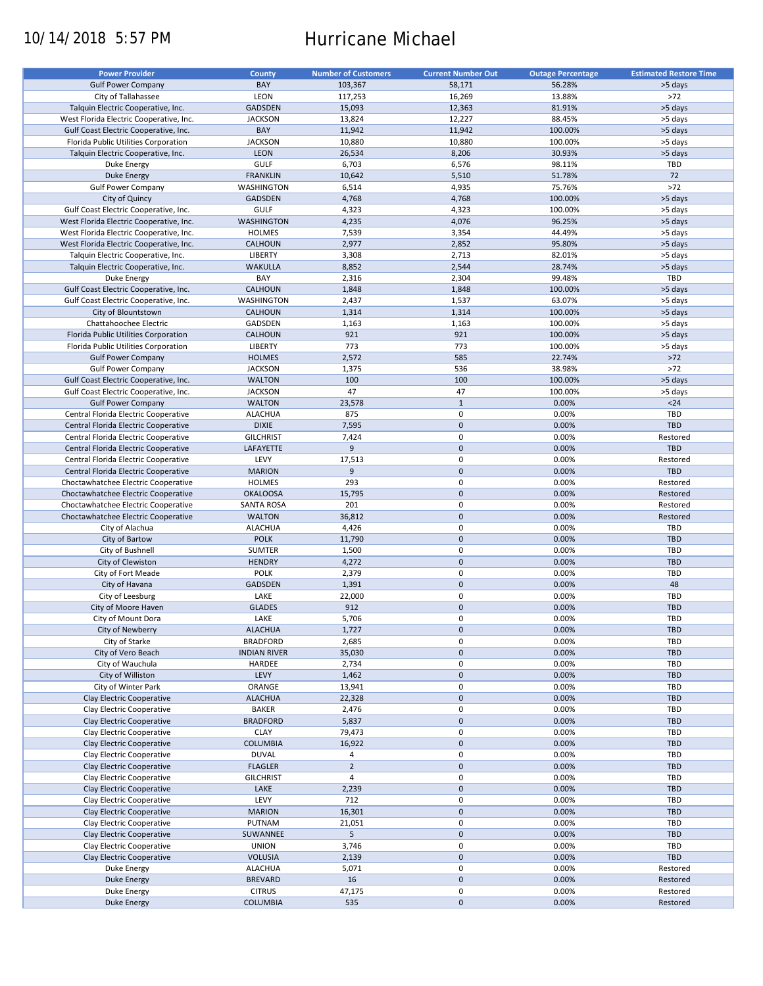# 10/14/2018 5:57 PM Hurricane Michael

| <b>Power Provider</b>                   | <b>County</b>       | <b>Number of Customers</b> | <b>Current Number Out</b> | <b>Outage Percentage</b> | <b>Estimated Restore Time</b> |
|-----------------------------------------|---------------------|----------------------------|---------------------------|--------------------------|-------------------------------|
| <b>Gulf Power Company</b>               | BAY                 | 103,367                    | 58,171                    | 56.28%                   | >5 days                       |
|                                         |                     |                            |                           |                          |                               |
| City of Tallahassee                     | LEON                | 117,253                    | 16,269                    | 13.88%                   | $>72$                         |
| Talquin Electric Cooperative, Inc.      | GADSDEN             | 15,093                     | 12,363                    | 81.91%                   | >5 days                       |
| West Florida Electric Cooperative, Inc. | <b>JACKSON</b>      | 13,824                     | 12,227                    | 88.45%                   | >5 days                       |
| Gulf Coast Electric Cooperative, Inc.   | BAY                 | 11,942                     | 11,942                    | 100.00%                  | >5 days                       |
| Florida Public Utilities Corporation    | <b>JACKSON</b>      | 10,880                     | 10,880                    | 100.00%                  | >5 days                       |
| Talquin Electric Cooperative, Inc.      | <b>LEON</b>         | 26,534                     | 8,206                     | 30.93%                   | >5 days                       |
| Duke Energy                             | <b>GULF</b>         | 6,703                      | 6,576                     | 98.11%                   | TBD                           |
| <b>Duke Energy</b>                      | <b>FRANKLIN</b>     | 10,642                     | 5,510                     | 51.78%                   | 72                            |
| <b>Gulf Power Company</b>               | WASHINGTON          | 6,514                      | 4,935                     | 75.76%                   | $>72$                         |
|                                         |                     |                            |                           |                          |                               |
| City of Quincy                          | GADSDEN             | 4,768                      | 4,768                     | 100.00%                  | >5 days                       |
| Gulf Coast Electric Cooperative, Inc.   | <b>GULF</b>         | 4,323                      | 4,323                     | 100.00%                  | >5 days                       |
| West Florida Electric Cooperative, Inc. | WASHINGTON          | 4,235                      | 4,076                     | 96.25%                   | >5 days                       |
| West Florida Electric Cooperative, Inc. | <b>HOLMES</b>       | 7,539                      | 3,354                     | 44.49%                   | >5 days                       |
| West Florida Electric Cooperative, Inc. | CALHOUN             | 2,977                      | 2,852                     | 95.80%                   | >5 days                       |
| Talquin Electric Cooperative, Inc.      | LIBERTY             | 3,308                      | 2,713                     | 82.01%                   | >5 days                       |
| Talquin Electric Cooperative, Inc.      | <b>WAKULLA</b>      | 8,852                      | 2,544                     | 28.74%                   | >5 days                       |
| Duke Energy                             | BAY                 | 2,316                      | 2,304                     | 99.48%                   | TBD                           |
| Gulf Coast Electric Cooperative, Inc.   | CALHOUN             | 1,848                      | 1,848                     | 100.00%                  | >5 days                       |
|                                         |                     |                            |                           |                          |                               |
| Gulf Coast Electric Cooperative, Inc.   | WASHINGTON          | 2,437                      | 1,537                     | 63.07%                   | >5 days                       |
| City of Blountstown                     | <b>CALHOUN</b>      | 1,314                      | 1,314                     | 100.00%                  | >5 days                       |
| Chattahoochee Electric                  | GADSDEN             | 1,163                      | 1,163                     | 100.00%                  | >5 days                       |
| Florida Public Utilities Corporation    | <b>CALHOUN</b>      | 921                        | 921                       | 100.00%                  | >5 days                       |
| Florida Public Utilities Corporation    | LIBERTY             | 773                        | 773                       | 100.00%                  | >5 days                       |
| <b>Gulf Power Company</b>               | <b>HOLMES</b>       | 2,572                      | 585                       | 22.74%                   | $>72$                         |
| <b>Gulf Power Company</b>               | <b>JACKSON</b>      | 1,375                      | 536                       | 38.98%                   | $>72$                         |
| Gulf Coast Electric Cooperative, Inc.   | <b>WALTON</b>       | 100                        | 100                       | 100.00%                  | >5 days                       |
|                                         |                     | 47                         | 47                        |                          |                               |
| Gulf Coast Electric Cooperative, Inc.   | <b>JACKSON</b>      |                            |                           | 100.00%                  | >5 days                       |
| <b>Gulf Power Company</b>               | <b>WALTON</b>       | 23,578                     | $\mathbf 1$               | 0.00%                    | $24$                          |
| Central Florida Electric Cooperative    | <b>ALACHUA</b>      | 875                        | 0                         | 0.00%                    | <b>TBD</b>                    |
| Central Florida Electric Cooperative    | <b>DIXIE</b>        | 7,595                      | $\pmb{0}$                 | 0.00%                    | TBD                           |
| Central Florida Electric Cooperative    | <b>GILCHRIST</b>    | 7,424                      | 0                         | 0.00%                    | Restored                      |
| Central Florida Electric Cooperative    | LAFAYETTE           | 9                          | $\pmb{0}$                 | 0.00%                    | <b>TBD</b>                    |
| Central Florida Electric Cooperative    | LEVY                | 17,513                     | 0                         | 0.00%                    | Restored                      |
| Central Florida Electric Cooperative    | <b>MARION</b>       | 9                          | $\pmb{0}$                 | 0.00%                    | <b>TBD</b>                    |
|                                         |                     | 293                        | 0                         |                          |                               |
| Choctawhatchee Electric Cooperative     | <b>HOLMES</b>       |                            |                           | 0.00%                    | Restored                      |
| Choctawhatchee Electric Cooperative     | <b>OKALOOSA</b>     | 15,795                     | $\pmb{0}$                 | 0.00%                    | Restored                      |
| Choctawhatchee Electric Cooperative     | <b>SANTA ROSA</b>   | 201                        | 0                         | 0.00%                    | Restored                      |
| Choctawhatchee Electric Cooperative     | <b>WALTON</b>       | 36,812                     | $\mathbf 0$               | 0.00%                    | Restored                      |
| City of Alachua                         | <b>ALACHUA</b>      | 4,426                      | 0                         | 0.00%                    | TBD                           |
| City of Bartow                          | <b>POLK</b>         | 11,790                     | $\pmb{0}$                 | 0.00%                    | <b>TBD</b>                    |
| City of Bushnell                        | SUMTER              | 1,500                      | 0                         | 0.00%                    | <b>TBD</b>                    |
| City of Clewiston                       | <b>HENDRY</b>       | 4,272                      | $\mathbf 0$               | 0.00%                    | <b>TBD</b>                    |
| City of Fort Meade                      | <b>POLK</b>         | 2,379                      | 0                         | 0.00%                    | <b>TBD</b>                    |
|                                         |                     |                            | $\mathbf 0$               |                          | 48                            |
| City of Havana                          | GADSDEN             | 1,391                      |                           | 0.00%                    |                               |
| City of Leesburg                        | LAKE                | 22,000                     | 0                         | 0.00%                    | TBD                           |
| City of Moore Haven                     | <b>GLADES</b>       | 912                        | $\mathbf 0$               | 0.00%                    | <b>TBD</b>                    |
| City of Mount Dora                      | LAKE                | 5,706                      | 0                         | 0.00%                    | TBD                           |
| City of Newberry                        | <b>ALACHUA</b>      | 1,727                      | $\pmb{0}$                 | 0.00%                    | <b>TBD</b>                    |
| City of Starke                          | <b>BRADFORD</b>     | 2,685                      | 0                         | 0.00%                    | TBD                           |
| City of Vero Beach                      | <b>INDIAN RIVER</b> | 35,030                     | $\mathbf 0$               | 0.00%                    | <b>TBD</b>                    |
| City of Wauchula                        | HARDEE              | 2,734                      | 0                         | 0.00%                    | TBD                           |
| City of Williston                       | LEVY                | 1,462                      | $\pmb{0}$                 | 0.00%                    | <b>TBD</b>                    |
|                                         |                     |                            |                           |                          |                               |
| City of Winter Park                     | ORANGE              | 13,941                     | 0                         | 0.00%                    | TBD                           |
| Clay Electric Cooperative               | <b>ALACHUA</b>      | 22,328                     | $\pmb{0}$                 | 0.00%                    | TBD                           |
| Clay Electric Cooperative               | BAKER               | 2,476                      | 0                         | 0.00%                    | TBD                           |
| Clay Electric Cooperative               | <b>BRADFORD</b>     | 5,837                      | $\pmb{0}$                 | 0.00%                    | <b>TBD</b>                    |
| Clay Electric Cooperative               | <b>CLAY</b>         | 79,473                     | 0                         | 0.00%                    | TBD                           |
| Clay Electric Cooperative               | <b>COLUMBIA</b>     | 16,922                     | $\pmb{0}$                 | 0.00%                    | TBD                           |
| Clay Electric Cooperative               | <b>DUVAL</b>        | 4                          | 0                         | 0.00%                    | TBD                           |
| Clay Electric Cooperative               | <b>FLAGLER</b>      | $\overline{2}$             | $\pmb{0}$                 | 0.00%                    | <b>TBD</b>                    |
| Clay Electric Cooperative               |                     | 4                          |                           |                          |                               |
|                                         | <b>GILCHRIST</b>    |                            | 0                         | 0.00%                    | TBD                           |
| Clay Electric Cooperative               | LAKE                | 2,239                      | $\pmb{0}$                 | 0.00%                    | <b>TBD</b>                    |
| Clay Electric Cooperative               | LEVY                | 712                        | 0                         | 0.00%                    | TBD                           |
| Clay Electric Cooperative               | <b>MARION</b>       | 16,301                     | $\pmb{0}$                 | 0.00%                    | <b>TBD</b>                    |
| Clay Electric Cooperative               | PUTNAM              | 21,051                     | 0                         | 0.00%                    | TBD                           |
| Clay Electric Cooperative               | SUWANNEE            | 5                          | $\pmb{0}$                 | 0.00%                    | <b>TBD</b>                    |
| Clay Electric Cooperative               | <b>UNION</b>        | 3,746                      | 0                         | 0.00%                    | TBD                           |
| Clay Electric Cooperative               | <b>VOLUSIA</b>      | 2,139                      | $\pmb{0}$                 | 0.00%                    | TBD                           |
| Duke Energy                             | <b>ALACHUA</b>      | 5,071                      | 0                         | 0.00%                    | Restored                      |
|                                         |                     |                            | $\mathbf 0$               |                          |                               |
| <b>Duke Energy</b>                      | <b>BREVARD</b>      | 16                         |                           | 0.00%                    | Restored                      |
| Duke Energy                             | <b>CITRUS</b>       | 47,175                     | 0                         | 0.00%                    | Restored                      |
| <b>Duke Energy</b>                      | <b>COLUMBIA</b>     | 535                        | $\mathbf 0$               | 0.00%                    | Restored                      |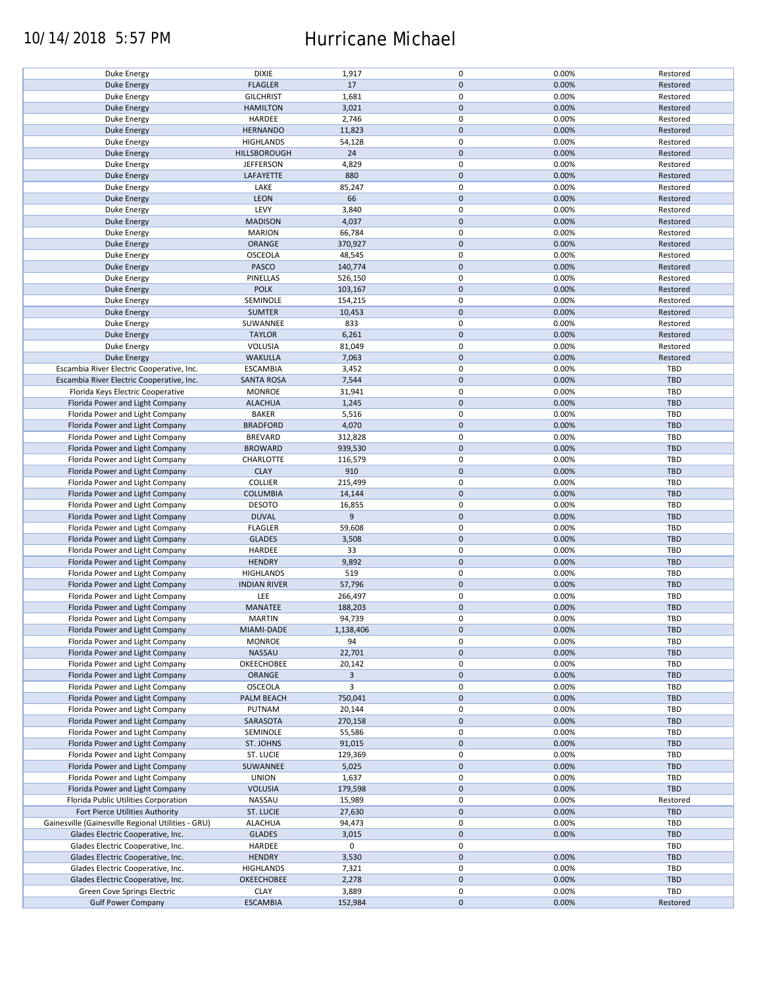## 10/14/2018 5:57 PM Hurricane Michael

| Duke Energy                                        | <b>DIXIE</b>        | 1,917          | 0           | 0.00% | Restored   |
|----------------------------------------------------|---------------------|----------------|-------------|-------|------------|
| <b>Duke Energy</b>                                 | <b>FLAGLER</b>      | 17             | $\pmb{0}$   | 0.00% | Restored   |
|                                                    |                     |                |             |       |            |
| <b>Duke Energy</b>                                 | <b>GILCHRIST</b>    | 1,681          | 0           | 0.00% | Restored   |
| <b>Duke Energy</b>                                 | <b>HAMILTON</b>     | 3,021          | $\mathbf 0$ | 0.00% | Restored   |
| Duke Energy                                        | HARDEE              | 2,746          | 0           | 0.00% | Restored   |
|                                                    |                     |                |             |       |            |
| <b>Duke Energy</b>                                 | <b>HERNANDO</b>     | 11,823         | $\mathbf 0$ | 0.00% | Restored   |
| Duke Energy                                        | <b>HIGHLANDS</b>    | 54,128         | 0           | 0.00% | Restored   |
| <b>Duke Energy</b>                                 | HILLSBOROUGH        | 24             | $\pmb{0}$   | 0.00% | Restored   |
|                                                    |                     |                |             |       |            |
| Duke Energy                                        | <b>JEFFERSON</b>    | 4,829          | $\pmb{0}$   | 0.00% | Restored   |
| Duke Energy                                        | LAFAYETTE           | 880            | $\mathbf 0$ | 0.00% | Restored   |
| Duke Energy                                        | LAKE                | 85,247         | 0           | 0.00% | Restored   |
|                                                    |                     |                |             |       |            |
| <b>Duke Energy</b>                                 | LEON                | 66             | $\pmb{0}$   | 0.00% | Restored   |
| Duke Energy                                        | LEVY                | 3,840          | 0           | 0.00% | Restored   |
| <b>Duke Energy</b>                                 | <b>MADISON</b>      | 4,037          | $\pmb{0}$   | 0.00% | Restored   |
|                                                    |                     |                |             |       |            |
| Duke Energy                                        | <b>MARION</b>       | 66,784         | 0           | 0.00% | Restored   |
| <b>Duke Energy</b>                                 | ORANGE              | 370,927        | $\mathbf 0$ | 0.00% | Restored   |
| Duke Energy                                        | OSCEOLA             | 48,545         | $\pmb{0}$   | 0.00% | Restored   |
|                                                    |                     |                | $\pmb{0}$   |       |            |
| <b>Duke Energy</b>                                 | PASCO               | 140,774        |             | 0.00% | Restored   |
| Duke Energy                                        | PINELLAS            | 526,150        | 0           | 0.00% | Restored   |
| <b>Duke Energy</b>                                 | <b>POLK</b>         | 103,167        | $\pmb{0}$   | 0.00% | Restored   |
|                                                    |                     |                |             |       |            |
| Duke Energy                                        | SEMINOLE            | 154,215        | 0           | 0.00% | Restored   |
| <b>Duke Energy</b>                                 | <b>SUMTER</b>       | 10,453         | $\pmb{0}$   | 0.00% | Restored   |
| Duke Energy                                        | SUWANNEE            | 833            | $\pmb{0}$   | 0.00% | Restored   |
|                                                    |                     |                |             |       |            |
| <b>Duke Energy</b>                                 | <b>TAYLOR</b>       | 6,261          | $\pmb{0}$   | 0.00% | Restored   |
| Duke Energy                                        | VOLUSIA             | 81,049         | $\pmb{0}$   | 0.00% | Restored   |
| <b>Duke Energy</b>                                 | <b>WAKULLA</b>      | 7,063          | $\pmb{0}$   | 0.00% | Restored   |
|                                                    |                     |                |             |       |            |
| Escambia River Electric Cooperative, Inc.          | <b>ESCAMBIA</b>     | 3,452          | $\pmb{0}$   | 0.00% | TBD        |
| Escambia River Electric Cooperative, Inc.          | <b>SANTA ROSA</b>   | 7,544          | $\pmb{0}$   | 0.00% | <b>TBD</b> |
| Florida Keys Electric Cooperative                  | <b>MONROE</b>       | 31,941         | $\pmb{0}$   | 0.00% | <b>TBD</b> |
|                                                    |                     |                |             |       |            |
| Florida Power and Light Company                    | <b>ALACHUA</b>      | 1,245          | $\pmb{0}$   | 0.00% | <b>TBD</b> |
| Florida Power and Light Company                    | <b>BAKER</b>        | 5,516          | $\pmb{0}$   | 0.00% | <b>TBD</b> |
| Florida Power and Light Company                    | <b>BRADFORD</b>     | 4,070          | $\pmb{0}$   | 0.00% | <b>TBD</b> |
|                                                    |                     |                |             |       |            |
| Florida Power and Light Company                    | <b>BREVARD</b>      | 312,828        | $\pmb{0}$   | 0.00% | <b>TBD</b> |
| Florida Power and Light Company                    | <b>BROWARD</b>      | 939,530        | $\pmb{0}$   | 0.00% | <b>TBD</b> |
| Florida Power and Light Company                    | CHARLOTTE           | 116,579        | 0           | 0.00% | <b>TBD</b> |
|                                                    |                     |                |             |       |            |
| Florida Power and Light Company                    | <b>CLAY</b>         | 910            | $\pmb{0}$   | 0.00% | <b>TBD</b> |
| Florida Power and Light Company                    | <b>COLLIER</b>      | 215,499        | $\pmb{0}$   | 0.00% | <b>TBD</b> |
| Florida Power and Light Company                    | <b>COLUMBIA</b>     | 14,144         | $\pmb{0}$   | 0.00% | <b>TBD</b> |
|                                                    |                     |                |             |       |            |
| Florida Power and Light Company                    | <b>DESOTO</b>       | 16,855         | $\pmb{0}$   | 0.00% | TBD        |
| Florida Power and Light Company                    | <b>DUVAL</b>        | 9              | $\pmb{0}$   | 0.00% | <b>TBD</b> |
|                                                    |                     |                | 0           | 0.00% | TBD        |
| Florida Power and Light Company                    | <b>FLAGLER</b>      | 59,608         |             |       |            |
| Florida Power and Light Company                    | <b>GLADES</b>       | 3,508          | $\mathbf 0$ | 0.00% | <b>TBD</b> |
| Florida Power and Light Company                    | HARDEE              | 33             | 0           | 0.00% | TBD        |
|                                                    |                     |                | $\pmb{0}$   |       | <b>TBD</b> |
| Florida Power and Light Company                    | <b>HENDRY</b>       | 9,892          |             | 0.00% |            |
| Florida Power and Light Company                    | <b>HIGHLANDS</b>    | 519            | $\pmb{0}$   | 0.00% | <b>TBD</b> |
| Florida Power and Light Company                    | <b>INDIAN RIVER</b> | 57,796         | $\mathbf 0$ | 0.00% | <b>TBD</b> |
|                                                    |                     |                |             |       |            |
| Florida Power and Light Company                    | LEE                 | 266,497        | $\pmb{0}$   | 0.00% | TBD        |
| Florida Power and Light Company                    | MANATEE             | 188,203        | $\pmb{0}$   | 0.00% | <b>TBD</b> |
| Florida Power and Light Company                    | <b>MARTIN</b>       | 94,739         | $\pmb{0}$   | 0.00% | <b>TBD</b> |
|                                                    |                     |                |             |       |            |
| Florida Power and Light Company                    | MIAMI-DADE          | 1,138,406      | $\pmb{0}$   | 0.00% | TBD        |
| Florida Power and Light Company                    | <b>MONROE</b>       | 94             | 0           | 0.00% | TBD        |
| Florida Power and Light Company                    | NASSAU              | 22,701         | $\mathbf 0$ | 0.00% | <b>TBD</b> |
|                                                    |                     |                |             |       |            |
| Florida Power and Light Company                    | OKEECHOBEE          | 20,142         | 0           | 0.00% | TBD        |
| Florida Power and Light Company                    | ORANGE              | $\overline{3}$ | $\pmb{0}$   | 0.00% | <b>TBD</b> |
| Florida Power and Light Company                    | OSCEOLA             | 3              | 0           | 0.00% | <b>TBD</b> |
|                                                    |                     |                |             |       |            |
| Florida Power and Light Company                    | PALM BEACH          | 750,041        | $\pmb{0}$   | 0.00% | TBD        |
| Florida Power and Light Company                    | PUTNAM              | 20,144         | 0           | 0.00% | <b>TBD</b> |
| Florida Power and Light Company                    | SARASOTA            | 270,158        | $\pmb{0}$   | 0.00% | <b>TBD</b> |
|                                                    |                     |                |             |       |            |
| Florida Power and Light Company                    | SEMINOLE            | 55,586         | 0           | 0.00% | TBD        |
| Florida Power and Light Company                    | ST. JOHNS           | 91,015         | $\pmb{0}$   | 0.00% | <b>TBD</b> |
| Florida Power and Light Company                    | ST. LUCIE           | 129,369        | 0           | 0.00% | TBD        |
|                                                    |                     |                |             |       |            |
| Florida Power and Light Company                    | SUWANNEE            | 5,025          | $\pmb{0}$   | 0.00% | <b>TBD</b> |
| Florida Power and Light Company                    | <b>UNION</b>        | 1,637          | 0           | 0.00% | TBD        |
| Florida Power and Light Company                    | <b>VOLUSIA</b>      | 179,598        | $\pmb{0}$   | 0.00% | TBD        |
|                                                    |                     |                |             |       |            |
| Florida Public Utilities Corporation               | NASSAU              | 15,989         | 0           | 0.00% | Restored   |
| Fort Pierce Utilities Authority                    | ST. LUCIE           | 27,630         | $\pmb{0}$   | 0.00% | <b>TBD</b> |
| Gainesville (Gainesville Regional Utilities - GRU) | <b>ALACHUA</b>      | 94,473         | 0           | 0.00% | TBD        |
|                                                    |                     |                |             |       |            |
| Glades Electric Cooperative, Inc.                  | <b>GLADES</b>       | 3,015          | $\pmb{0}$   | 0.00% | TBD        |
| Glades Electric Cooperative, Inc.                  | HARDEE              | 0              | 0           |       | TBD        |
| Glades Electric Cooperative, Inc.                  | <b>HENDRY</b>       | 3,530          | $\mathbf 0$ | 0.00% | <b>TBD</b> |
|                                                    |                     |                |             |       |            |
| Glades Electric Cooperative, Inc.                  | <b>HIGHLANDS</b>    | 7,321          | 0           | 0.00% | TBD        |
| Glades Electric Cooperative, Inc.                  | <b>OKEECHOBEE</b>   | 2,278          | $\mathbf 0$ | 0.00% | <b>TBD</b> |
| Green Cove Springs Electric                        | <b>CLAY</b>         | 3,889          | $\pmb{0}$   | 0.00% | TBD        |
|                                                    |                     |                |             |       |            |
| <b>Gulf Power Company</b>                          | <b>ESCAMBIA</b>     | 152,984        | $\mathbf 0$ | 0.00% | Restored   |
|                                                    |                     |                |             |       |            |